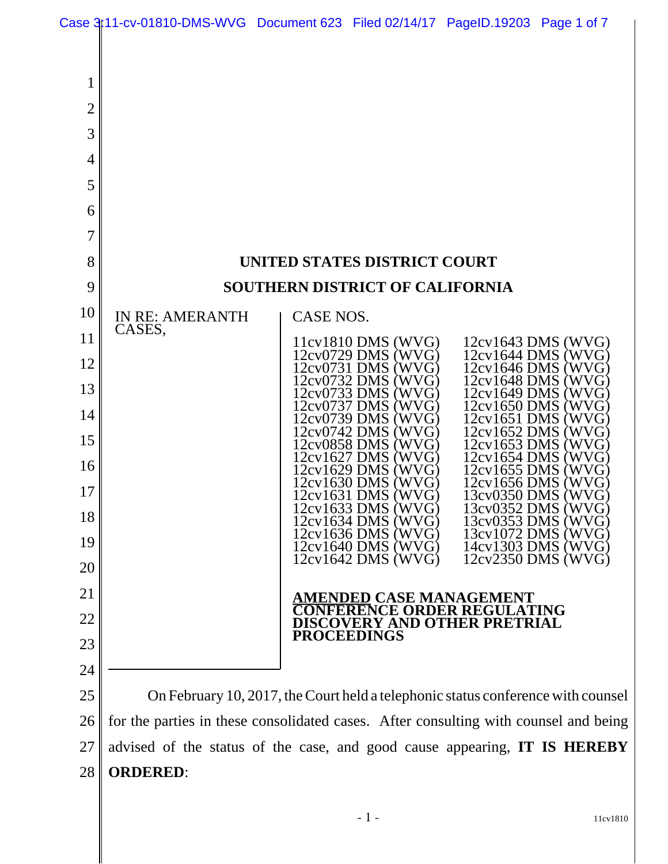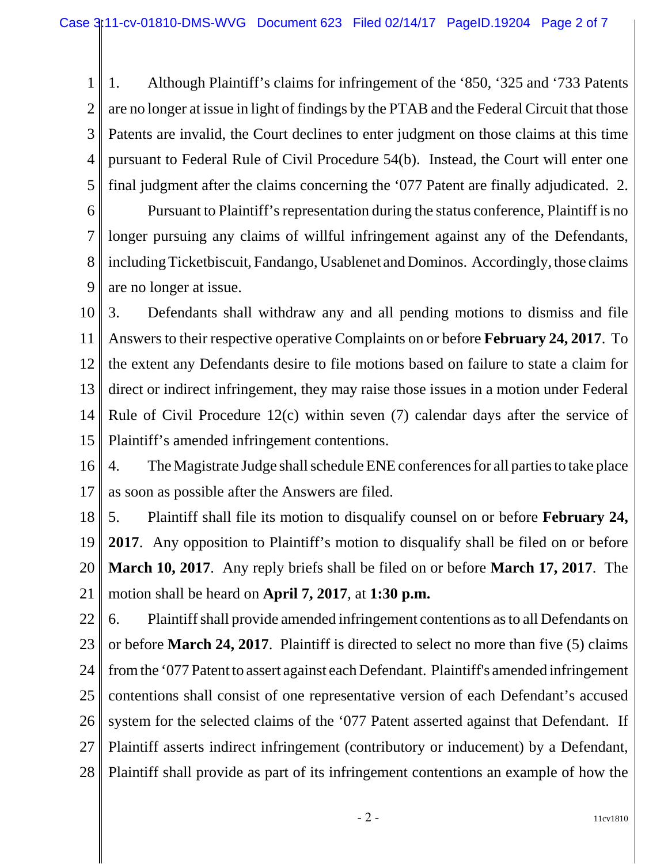1 2 3 4 5 1. Although Plaintiff's claims for infringement of the '850, '325 and '733 Patents are no longer at issue in light of findings by the PTAB and the Federal Circuit that those Patents are invalid, the Court declines to enter judgment on those claims at this time pursuant to Federal Rule of Civil Procedure 54(b). Instead, the Court will enter one final judgment after the claims concerning the '077 Patent are finally adjudicated. 2.

6 7 8 9 Pursuant to Plaintiff's representation during the status conference, Plaintiff is no longer pursuing any claims of willful infringement against any of the Defendants, including Ticketbiscuit, Fandango, Usablenet and Dominos. Accordingly, those claims are no longer at issue.

10 11 12 13 14 15 3. Defendants shall withdraw any and all pending motions to dismiss and file Answers to their respective operative Complaints on or before **February 24, 2017**. To the extent any Defendants desire to file motions based on failure to state a claim for direct or indirect infringement, they may raise those issues in a motion under Federal Rule of Civil Procedure 12(c) within seven (7) calendar days after the service of Plaintiff's amended infringement contentions.

16 17 4. The Magistrate Judge shall schedule ENE conferences for all parties to take place as soon as possible after the Answers are filed.

18 19 20 21 5. Plaintiff shall file its motion to disqualify counsel on or before **February 24, 2017**. Any opposition to Plaintiff's motion to disqualify shall be filed on or before **March 10, 2017**. Any reply briefs shall be filed on or before **March 17, 2017**. The motion shall be heard on **April 7, 2017**, at **1:30 p.m.** 

22 23 24 25 26 27 28 6. Plaintiff shall provide amended infringement contentions as to all Defendants on or before **March 24, 2017**. Plaintiff is directed to select no more than five (5) claims from the '077 Patent to assert against each Defendant. Plaintiff's amended infringement contentions shall consist of one representative version of each Defendant's accused system for the selected claims of the '077 Patent asserted against that Defendant. If Plaintiff asserts indirect infringement (contributory or inducement) by a Defendant, Plaintiff shall provide as part of its infringement contentions an example of how the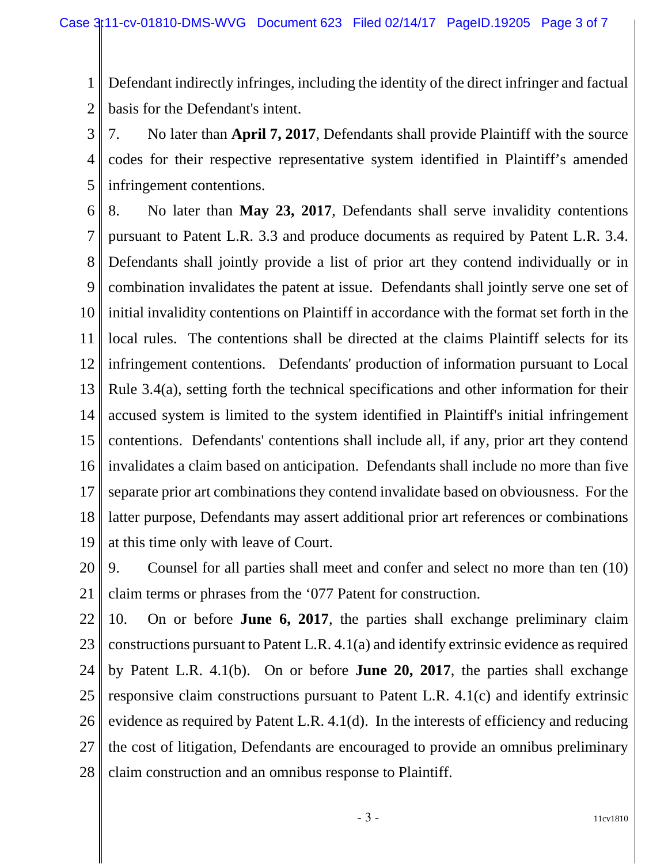1 2 Defendant indirectly infringes, including the identity of the direct infringer and factual basis for the Defendant's intent.

3 4 5 7. No later than **April 7, 2017**, Defendants shall provide Plaintiff with the source codes for their respective representative system identified in Plaintiff's amended infringement contentions.

6 7 8 9 10 11 12 13 14 15 16 17 18 19 8. No later than **May 23, 2017**, Defendants shall serve invalidity contentions pursuant to Patent L.R. 3.3 and produce documents as required by Patent L.R. 3.4. Defendants shall jointly provide a list of prior art they contend individually or in combination invalidates the patent at issue. Defendants shall jointly serve one set of initial invalidity contentions on Plaintiff in accordance with the format set forth in the local rules. The contentions shall be directed at the claims Plaintiff selects for its infringement contentions. Defendants' production of information pursuant to Local Rule 3.4(a), setting forth the technical specifications and other information for their accused system is limited to the system identified in Plaintiff's initial infringement contentions. Defendants' contentions shall include all, if any, prior art they contend invalidates a claim based on anticipation. Defendants shall include no more than five separate prior art combinations they contend invalidate based on obviousness. For the latter purpose, Defendants may assert additional prior art references or combinations at this time only with leave of Court.

20 21 9. Counsel for all parties shall meet and confer and select no more than ten (10) claim terms or phrases from the '077 Patent for construction.

22 23 24 25 26 27 28 10. On or before **June 6, 2017**, the parties shall exchange preliminary claim constructions pursuant to Patent L.R. 4.1(a) and identify extrinsic evidence as required by Patent L.R. 4.1(b). On or before **June 20, 2017**, the parties shall exchange responsive claim constructions pursuant to Patent L.R. 4.1(c) and identify extrinsic evidence as required by Patent L.R. 4.1(d). In the interests of efficiency and reducing the cost of litigation, Defendants are encouraged to provide an omnibus preliminary claim construction and an omnibus response to Plaintiff.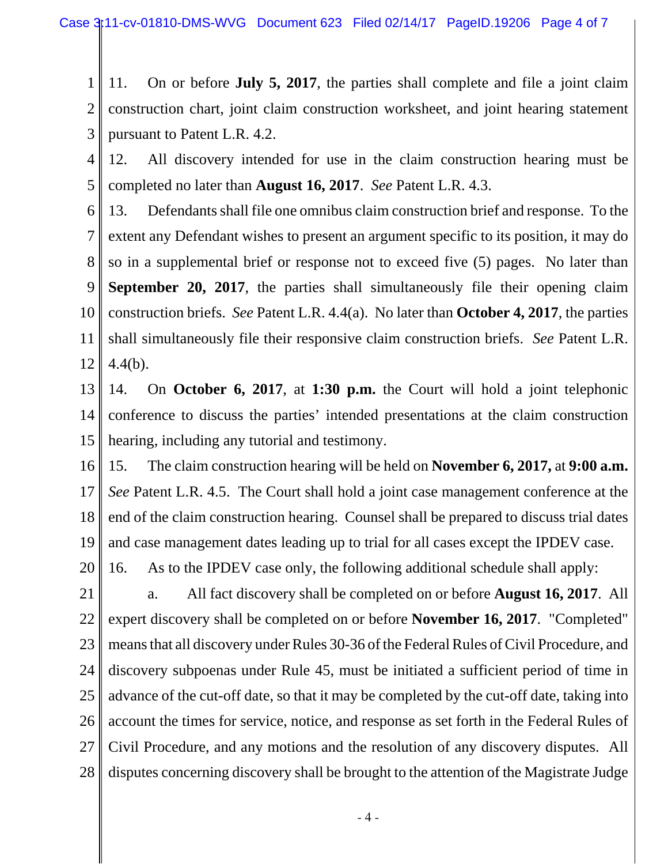1 2 3 11. On or before **July 5, 2017**, the parties shall complete and file a joint claim construction chart, joint claim construction worksheet, and joint hearing statement pursuant to Patent L.R. 4.2.

4 5 12. All discovery intended for use in the claim construction hearing must be completed no later than **August 16, 2017**. *See* Patent L.R. 4.3.

6 7 8 9 10 11 12 13. Defendants shall file one omnibus claim construction brief and response. To the extent any Defendant wishes to present an argument specific to its position, it may do so in a supplemental brief or response not to exceed five (5) pages. No later than **September 20, 2017**, the parties shall simultaneously file their opening claim construction briefs. *See* Patent L.R. 4.4(a). No later than **October 4, 2017**, the parties shall simultaneously file their responsive claim construction briefs. *See* Patent L.R. 4.4(b).

- 13 14 15 14. On **October 6, 2017**, at **1:30 p.m.** the Court will hold a joint telephonic conference to discuss the parties' intended presentations at the claim construction hearing, including any tutorial and testimony.
- 16 17 18 19 15. The claim construction hearing will be held on **November 6, 2017,** at **9:00 a.m.** *See* Patent L.R. 4.5. The Court shall hold a joint case management conference at the end of the claim construction hearing. Counsel shall be prepared to discuss trial dates and case management dates leading up to trial for all cases except the IPDEV case.
- 20 16. As to the IPDEV case only, the following additional schedule shall apply:
- 21 22 23 24 25 26 27 28 a. All fact discovery shall be completed on or before **August 16, 2017**. All expert discovery shall be completed on or before **November 16, 2017**. "Completed" means that all discovery under Rules 30-36 of the Federal Rules of Civil Procedure, and discovery subpoenas under Rule 45, must be initiated a sufficient period of time in advance of the cut-off date, so that it may be completed by the cut-off date, taking into account the times for service, notice, and response as set forth in the Federal Rules of Civil Procedure, and any motions and the resolution of any discovery disputes. All disputes concerning discovery shall be brought to the attention of the Magistrate Judge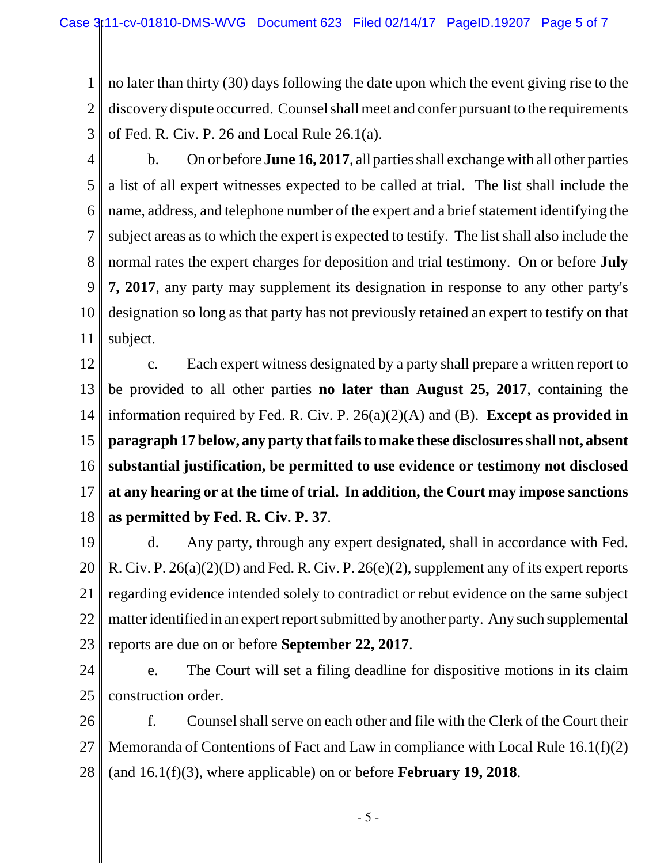1 2 3 no later than thirty (30) days following the date upon which the event giving rise to the discovery dispute occurred. Counsel shall meet and confer pursuant to the requirements of Fed. R. Civ. P. 26 and Local Rule 26.1(a).

4

5 6 7 8 9 10 11 b. On or before **June 16, 2017**, all parties shall exchange with all other parties a list of all expert witnesses expected to be called at trial. The list shall include the name, address, and telephone number of the expert and a brief statement identifying the subject areas as to which the expert is expected to testify. The list shall also include the normal rates the expert charges for deposition and trial testimony. On or before **July 7, 2017**, any party may supplement its designation in response to any other party's designation so long as that party has not previously retained an expert to testify on that subject.

12 13 14 15 16 17 18 c. Each expert witness designated by a party shall prepare a written report to be provided to all other parties **no later than August 25, 2017**, containing the information required by Fed. R. Civ. P. 26(a)(2)(A) and (B). **Except as provided in paragraph 17 below, any party that fails to make these disclosures shall not, absent substantial justification, be permitted to use evidence or testimony not disclosed at any hearing or at the time of trial. In addition, the Court may impose sanctions as permitted by Fed. R. Civ. P. 37**.

19 20 21 22 23 d. Any party, through any expert designated, shall in accordance with Fed. R. Civ. P. 26(a)(2)(D) and Fed. R. Civ. P. 26(e)(2), supplement any of its expert reports regarding evidence intended solely to contradict or rebut evidence on the same subject matter identified in an expert report submitted by another party. Any such supplemental reports are due on or before **September 22, 2017**.

24 25 e. The Court will set a filing deadline for dispositive motions in its claim construction order.

26 27 28 f. Counsel shall serve on each other and file with the Clerk of the Court their Memoranda of Contentions of Fact and Law in compliance with Local Rule 16.1(f)(2) (and 16.1(f)(3), where applicable) on or before **February 19, 2018**.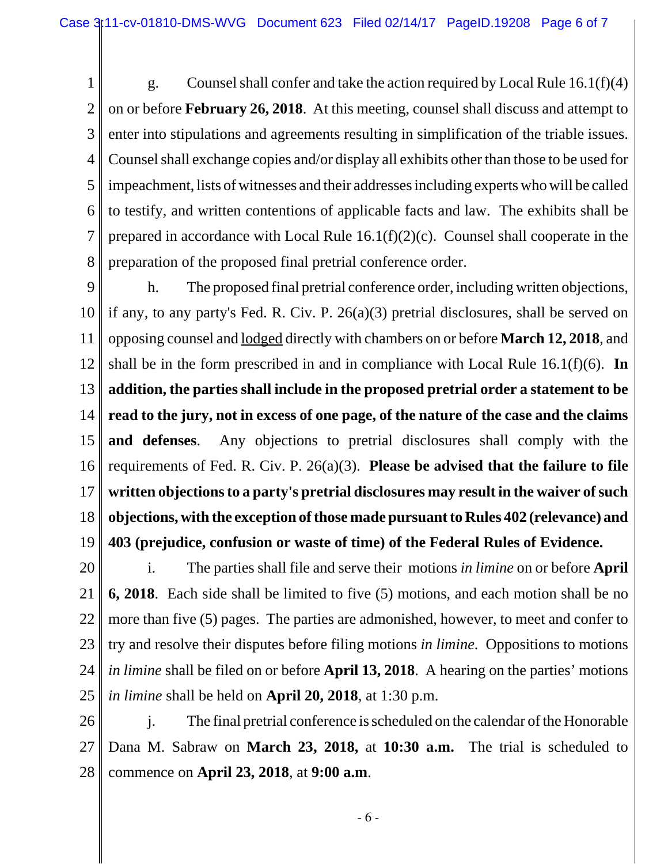1 2 3 4 5 6 7 8 g. Counsel shall confer and take the action required by Local Rule 16.1(f)(4) on or before **February 26, 2018**. At this meeting, counsel shall discuss and attempt to enter into stipulations and agreements resulting in simplification of the triable issues. Counsel shall exchange copies and/or display all exhibits other than those to be used for impeachment, lists of witnesses and their addresses including experts who will be called to testify, and written contentions of applicable facts and law. The exhibits shall be prepared in accordance with Local Rule 16.1(f)(2)(c). Counsel shall cooperate in the preparation of the proposed final pretrial conference order.

9 10 11 12 13 14 15 16 17 18 19 h. The proposed final pretrial conference order, including written objections, if any, to any party's Fed. R. Civ. P. 26(a)(3) pretrial disclosures, shall be served on opposing counsel and lodged directly with chambers on or before **March 12, 2018**, and shall be in the form prescribed in and in compliance with Local Rule 16.1(f)(6). **In addition, the parties shall include in the proposed pretrial order a statement to be read to the jury, not in excess of one page, of the nature of the case and the claims and defenses**. Any objections to pretrial disclosures shall comply with the requirements of Fed. R. Civ. P. 26(a)(3). **Please be advised that the failure to file written objections to a party's pretrial disclosures may result in the waiver of such objections, with the exception of those made pursuant to Rules 402 (relevance) and 403 (prejudice, confusion or waste of time) of the Federal Rules of Evidence.**

20 21 22 23 24 25 i. The parties shall file and serve their motions *in limine* on or before **April 6, 2018**. Each side shall be limited to five (5) motions, and each motion shall be no more than five (5) pages. The parties are admonished, however, to meet and confer to try and resolve their disputes before filing motions *in limine*. Oppositions to motions *in limine* shall be filed on or before **April 13, 2018**. A hearing on the parties' motions *in limine* shall be held on **April 20, 2018**, at 1:30 p.m.

26 27 28 j. The final pretrial conference is scheduled on the calendar of the Honorable Dana M. Sabraw on **March 23, 2018,** at **10:30 a.m.** The trial is scheduled to commence on **April 23, 2018**, at **9:00 a.m**.